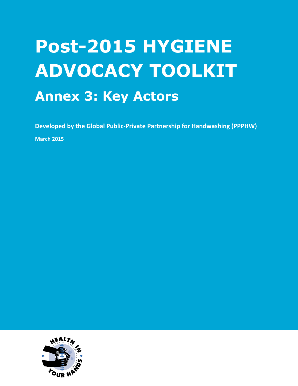## **Post-2015 HYGIENE ADVOCACY TOOLKIT Annex 3: Key Actors**

**Developed by the Global Public-Private Partnership for Handwashing (PPPHW)**

**March 2015**